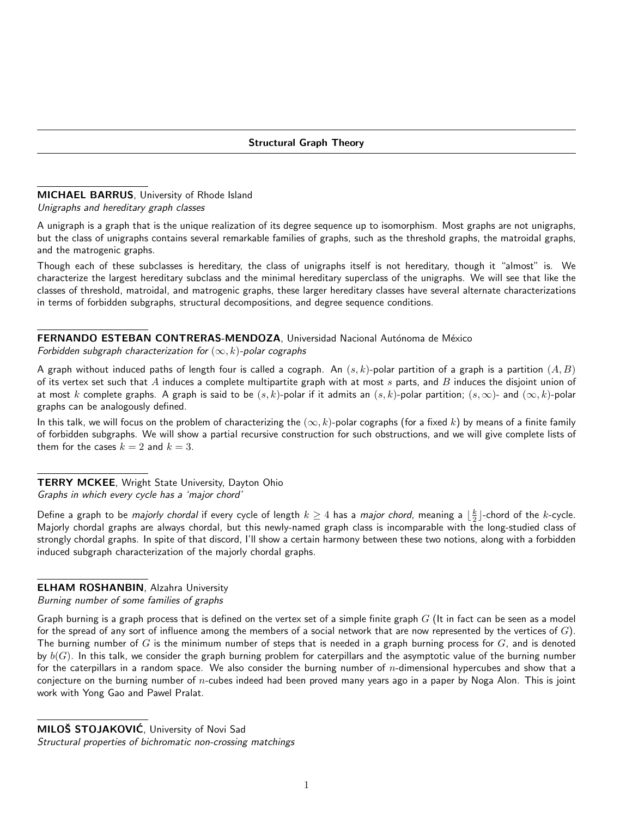## MICHAEL BARRUS, University of Rhode Island Unigraphs and hereditary graph classes

A unigraph is a graph that is the unique realization of its degree sequence up to isomorphism. Most graphs are not unigraphs, but the class of unigraphs contains several remarkable families of graphs, such as the threshold graphs, the matroidal graphs, and the matrogenic graphs.

Though each of these subclasses is hereditary, the class of unigraphs itself is not hereditary, though it "almost" is. We characterize the largest hereditary subclass and the minimal hereditary superclass of the unigraphs. We will see that like the classes of threshold, matroidal, and matrogenic graphs, these larger hereditary classes have several alternate characterizations in terms of forbidden subgraphs, structural decompositions, and degree sequence conditions.

## FERNANDO ESTEBAN CONTRERAS-MENDOZA, Universidad Nacional Autónoma de México

Forbidden subgraph characterization for  $(\infty, k)$ -polar cographs

A graph without induced paths of length four is called a cograph. An  $(s, k)$ -polar partition of a graph is a partition  $(A, B)$ of its vertex set such that  $A$  induces a complete multipartite graph with at most  $s$  parts, and  $B$  induces the disjoint union of at most k complete graphs. A graph is said to be  $(s, k)$ -polar if it admits an  $(s, k)$ -polar partition;  $(s, \infty)$ - and  $(\infty, k)$ -polar graphs can be analogously defined.

In this talk, we will focus on the problem of characterizing the  $(\infty, k)$ -polar cographs (for a fixed k) by means of a finite family of forbidden subgraphs. We will show a partial recursive construction for such obstructions, and we will give complete lists of them for the cases  $k = 2$  and  $k = 3$ .

## **TERRY MCKEE, Wright State University, Dayton Ohio** Graphs in which every cycle has a 'major chord'

Define a graph to be *majorly chordal* if every cycle of length  $k\geq 4$  has a *major chord*, meaning a  $\lfloor\frac{k}{2}\rfloor$ -chord of the  $k$ -cycle. Majorly chordal graphs are always chordal, but this newly-named graph class is incomparable with the long-studied class of strongly chordal graphs. In spite of that discord, I'll show a certain harmony between these two notions, along with a forbidden induced subgraph characterization of the majorly chordal graphs.

## ELHAM ROSHANBIN, Alzahra University

Burning number of some families of graphs

Graph burning is a graph process that is defined on the vertex set of a simple finite graph  $G$  (It in fact can be seen as a model for the spread of any sort of influence among the members of a social network that are now represented by the vertices of  $G$ ). The burning number of G is the minimum number of steps that is needed in a graph burning process for  $G$ , and is denoted by  $b(G)$ . In this talk, we consider the graph burning problem for caterpillars and the asymptotic value of the burning number for the caterpillars in a random space. We also consider the burning number of  $n$ -dimensional hypercubes and show that a conjecture on the burning number of  $n$ -cubes indeed had been proved many years ago in a paper by Noga Alon. This is joint work with Yong Gao and Pawel Pralat.

MILOŠ STOJAKOVIĆ, University of Novi Sad Structural properties of bichromatic non-crossing matchings